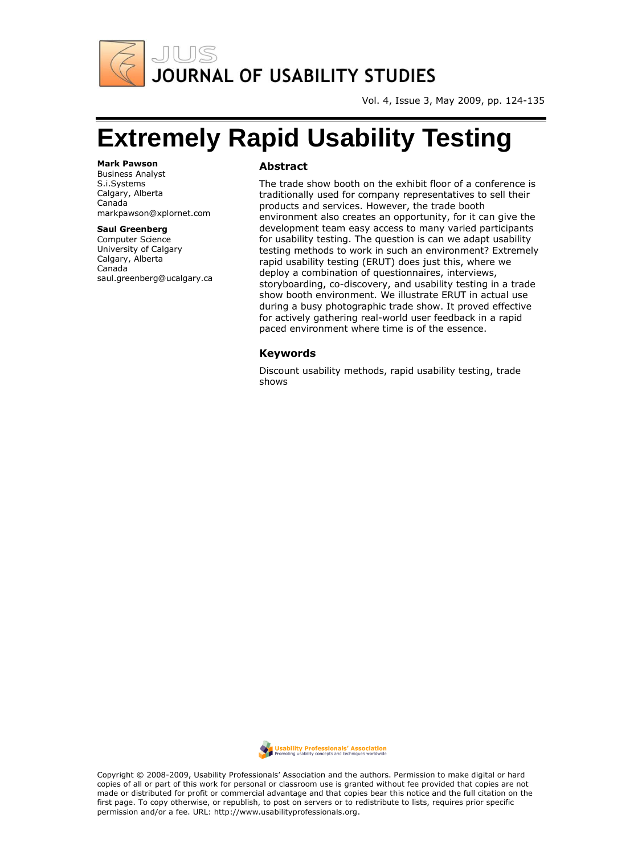

Vol. 4, Issue 3, May 2009, pp. 124-135

# **Extremely Rapid Usability Testing**

#### **Mark Pawson**

Business Analyst S.i.Systems Calgary, Alberta Canada markpawson@xplornet.com

#### **Saul Greenberg**

Computer Science University of Calgary Calgary, Alberta Canada saul.greenberg@ucalgary.ca

#### **Abstract**

The trade show booth on the exhibit floor of a conference is traditionally used for company representatives to sell their products and services. However, the trade booth environment also creates an opportunity, for it can give the development team easy access to many varied participants for usability testing. The question is can we adapt usability testing methods to work in such an environment? Extremely rapid usability testing (ERUT) does just this, where we deploy a combination of questionnaires, interviews, storyboarding, co-discovery, and usability testing in a trade show booth environment. We illustrate ERUT in actual use during a busy photographic trade show. It proved effective for actively gathering real-world user feedback in a rapid paced environment where time is of the essence.

#### **Keywords**

Discount usability methods, rapid usability testing, trade shows



Copyright © 2008-2009, Usability Professionals' Association and the authors. Permission to make digital or hard copies of all or part of this work for personal or classroom use is granted without fee provided that copies are not made or distributed for profit or commercial advantage and that copies bear this notice and the full citation on the first page. To copy otherwise, or republish, to post on servers or to redistribute to lists, requires prior specific permission and/or a fee. URL: http://www.usabilityprofessionals.org.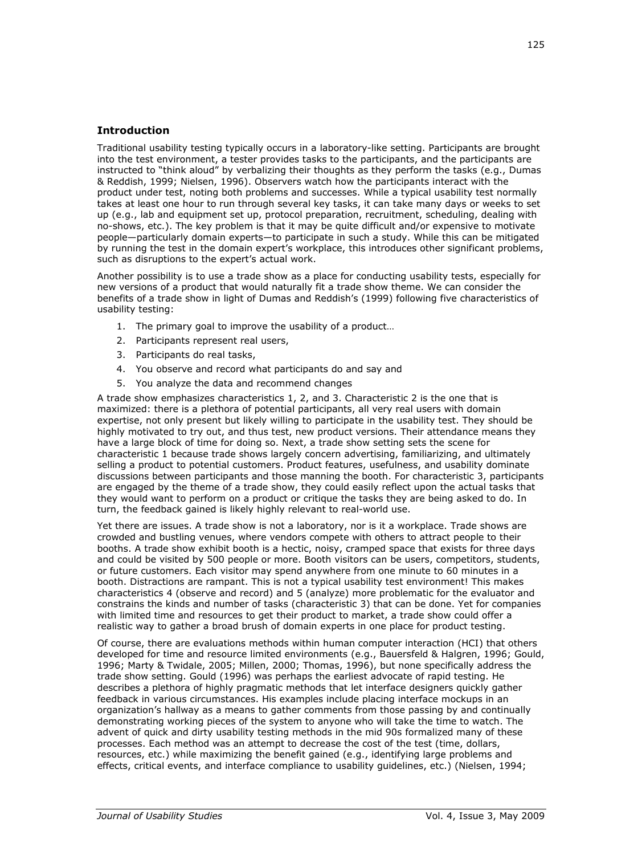## **Introduction**

Traditional usability testing typically occurs in a laboratory-like setting. Participants are brought into the test environment, a tester provides tasks to the participants, and the participants are instructed to "think aloud" by verbalizing their thoughts as they perform the tasks (e.g., Dumas & Reddish, 1999; Nielsen, 1996). Observers watch how the participants interact with the product under test, noting both problems and successes. While a typical usability test normally takes at least one hour to run through several key tasks, it can take many days or weeks to set up (e.g., lab and equipment set up, protocol preparation, recruitment, scheduling, dealing with no-shows, etc.). The key problem is that it may be quite difficult and/or expensive to motivate people—particularly domain experts—to participate in such a study. While this can be mitigated by running the test in the domain expert's workplace, this introduces other significant problems, such as disruptions to the expert's actual work.

Another possibility is to use a trade show as a place for conducting usability tests, especially for new versions of a product that would naturally fit a trade show theme. We can consider the benefits of a trade show in light of Dumas and Reddish's (1999) following five characteristics of usability testing:

- 1. The primary goal to improve the usability of a product…
- 2. Participants represent real users,
- 3. Participants do real tasks,
- 4. You observe and record what participants do and say and
- 5. You analyze the data and recommend changes

A trade show emphasizes characteristics 1, 2, and 3. Characteristic 2 is the one that is maximized: there is a plethora of potential participants, all very real users with domain expertise, not only present but likely willing to participate in the usability test. They should be highly motivated to try out, and thus test, new product versions. Their attendance means they have a large block of time for doing so. Next, a trade show setting sets the scene for characteristic 1 because trade shows largely concern advertising, familiarizing, and ultimately selling a product to potential customers. Product features, usefulness, and usability dominate discussions between participants and those manning the booth. For characteristic 3, participants are engaged by the theme of a trade show, they could easily reflect upon the actual tasks that they would want to perform on a product or critique the tasks they are being asked to do. In turn, the feedback gained is likely highly relevant to real-world use.

Yet there are issues. A trade show is not a laboratory, nor is it a workplace. Trade shows are crowded and bustling venues, where vendors compete with others to attract people to their booths. A trade show exhibit booth is a hectic, noisy, cramped space that exists for three days and could be visited by 500 people or more. Booth visitors can be users, competitors, students, or future customers. Each visitor may spend anywhere from one minute to 60 minutes in a booth. Distractions are rampant. This is not a typical usability test environment! This makes characteristics 4 (observe and record) and 5 (analyze) more problematic for the evaluator and constrains the kinds and number of tasks (characteristic 3) that can be done. Yet for companies with limited time and resources to get their product to market, a trade show could offer a realistic way to gather a broad brush of domain experts in one place for product testing.

Of course, there are evaluations methods within human computer interaction (HCI) that others developed for time and resource limited environments (e.g., Bauersfeld & Halgren, 1996; Gould, 1996; Marty & Twidale, 2005; Millen, 2000; Thomas, 1996), but none specifically address the trade show setting. Gould (1996) was perhaps the earliest advocate of rapid testing. He describes a plethora of highly pragmatic methods that let interface designers quickly gather feedback in various circumstances. His examples include placing interface mockups in an organization's hallway as a means to gather comments from those passing by and continually demonstrating working pieces of the system to anyone who will take the time to watch. The advent of quick and dirty usability testing methods in the mid 90s formalized many of these processes. Each method was an attempt to decrease the cost of the test (time, dollars, resources, etc.) while maximizing the benefit gained (e.g., identifying large problems and effects, critical events, and interface compliance to usability guidelines, etc.) (Nielsen, 1994;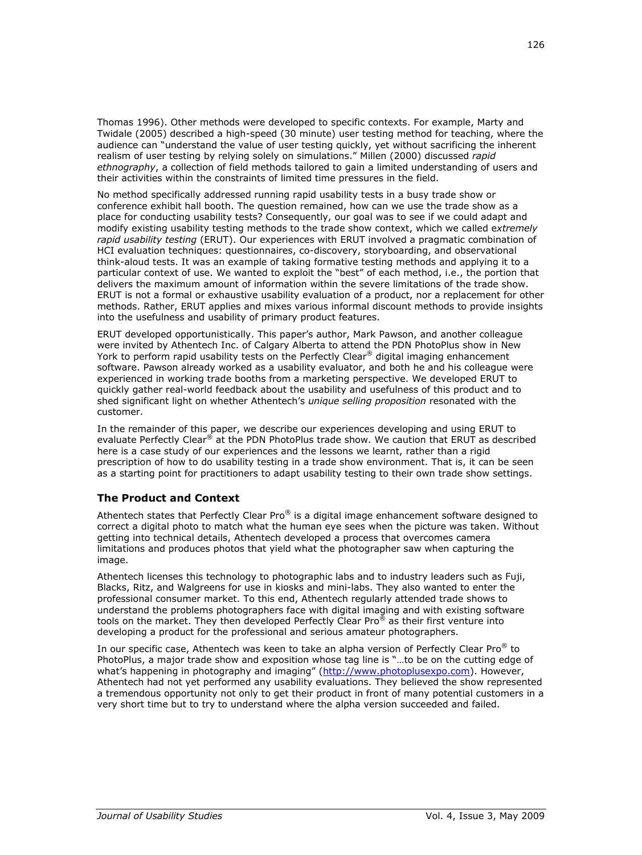Thomas 1996). Other methods were developed to specific contexts. For example, Marty and Twidale (2005) described a high-speed (30 minute) user testing method for teaching, where the audience can "understand the value of user testing quickly, yet without sacrificing the inherent realism of user testing by relying solely on simulations." Millen (2000) discussed *rapid ethnography*, a collection of field methods tailored to gain a limited understanding of users and their activities within the constraints of limited time pressures in the field.

No method specifically addressed running rapid usability tests in a busy trade show or conference exhibit hall booth. The question remained, how can we use the trade show as a place for conducting usability tests? Consequently, our goal was to see if we could adapt and modify existing usability testing methods to the trade show context, which we called e*xtremely rapid usability testing* (ERUT). Our experiences with ERUT involved a pragmatic combination of HCI evaluation techniques: questionnaires, co-discovery, storyboarding, and observational think-aloud tests. It was an example of taking formative testing methods and applying it to a particular context of use. We wanted to exploit the "best" of each method, i.e., the portion that delivers the maximum amount of information within the severe limitations of the trade show. ERUT is not a formal or exhaustive usability evaluation of a product, nor a replacement for other methods. Rather, ERUT applies and mixes various informal discount methods to provide insights into the usefulness and usability of primary product features.

ERUT developed opportunistically. This paper's author, Mark Pawson, and another colleague were invited by Athentech Inc. of Calgary Alberta to attend the PDN PhotoPlus show in New York to perform rapid usability tests on the Perfectly Clear® digital imaging enhancement software. Pawson already worked as a usability evaluator, and both he and his colleague were experienced in working trade booths from a marketing perspective. We developed ERUT to quickly gather real-world feedback about the usability and usefulness of this product and to shed significant light on whether Athentech's *unique selling proposition* resonated with the customer.

In the remainder of this paper, we describe our experiences developing and using ERUT to evaluate Perfectly Clear® at the PDN PhotoPlus trade show. We caution that ERUT as described here is a case study of our experiences and the lessons we learnt, rather than a rigid prescription of how to do usability testing in a trade show environment. That is, it can be seen as a starting point for practitioners to adapt usability testing to their own trade show settings.

## **The Product and Context**

Athentech states that Perfectly Clear Pro® is a digital image enhancement software designed to correct a digital photo to match what the human eye sees when the picture was taken. Without getting into technical details, Athentech developed a process that overcomes camera limitations and produces photos that yield what the photographer saw when capturing the image.

Athentech licenses this technology to photographic labs and to industry leaders such as Fuji, Blacks, Ritz, and Walgreens for use in kiosks and mini-labs. They also wanted to enter the professional consumer market. To this end, Athentech regularly attended trade shows to understand the problems photographers face with digital imaging and with existing software tools on the market. They then developed Perfectly Clear Pro® as their first venture into developing a product for the professional and serious amateur photographers.

In our specific case, Athentech was keen to take an alpha version of Perfectly Clear Pro® to PhotoPlus, a major trade show and exposition whose tag line is "...to be on the cutting edge of what's happening in photography and imaging" ([http://www.photoplusexpo.com\)](http://www.photoplusexpo.com/). However, Athentech had not yet performed any usability evaluations. They believed the show represented a tremendous opportunity not only to get their product in front of many potential customers in a very short time but to try to understand where the alpha version succeeded and failed.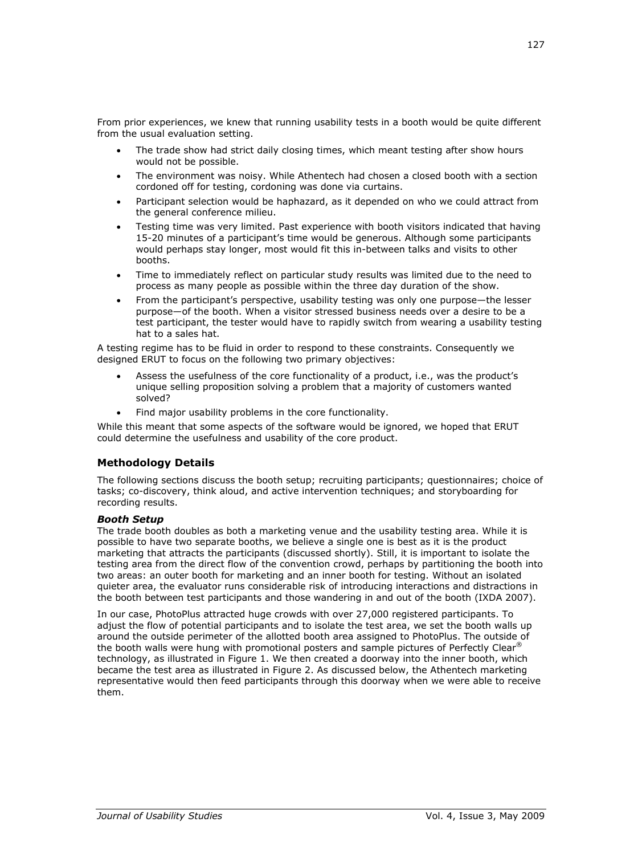From prior experiences, we knew that running usability tests in a booth would be quite different from the usual evaluation setting.

- The trade show had strict daily closing times, which meant testing after show hours would not be possible.
- The environment was noisy. While Athentech had chosen a closed booth with a section cordoned off for testing, cordoning was done via curtains.
- Participant selection would be haphazard, as it depended on who we could attract from the general conference milieu.
- Testing time was very limited. Past experience with booth visitors indicated that having 15-20 minutes of a participant's time would be generous. Although some participants would perhaps stay longer, most would fit this in-between talks and visits to other booths.
- Time to immediately reflect on particular study results was limited due to the need to process as many people as possible within the three day duration of the show.
- From the participant's perspective, usability testing was only one purpose—the lesser purpose—of the booth. When a visitor stressed business needs over a desire to be a test participant, the tester would have to rapidly switch from wearing a usability testing hat to a sales hat.

A testing regime has to be fluid in order to respond to these constraints. Consequently we designed ERUT to focus on the following two primary objectives:

- Assess the usefulness of the core functionality of a product, i.e., was the product's unique selling proposition solving a problem that a majority of customers wanted solved?
- Find major usability problems in the core functionality.

While this meant that some aspects of the software would be ignored, we hoped that ERUT could determine the usefulness and usability of the core product.

## **Methodology Details**

The following sections discuss the booth setup; recruiting participants; questionnaires; choice of tasks; co-discovery, think aloud, and active intervention techniques; and storyboarding for recording results.

## *Booth Setup*

The trade booth doubles as both a marketing venue and the usability testing area. While it is possible to have two separate booths, we believe a single one is best as it is the product marketing that attracts the participants (discussed shortly). Still, it is important to isolate the testing area from the direct flow of the convention crowd, perhaps by partitioning the booth into two areas: an outer booth for marketing and an inner booth for testing. Without an isolated quieter area, the evaluator runs considerable risk of introducing interactions and distractions in the booth between test participants and those wandering in and out of the booth (IXDA 2007).

In our case, PhotoPlus attracted huge crowds with over 27,000 registered participants. To adjust the flow of potential participants and to isolate the test area, we set the booth walls up around the outside perimeter of the allotted booth area assigned to PhotoPlus. The outside of the booth walls were hung with promotional posters and sample pictures of Perfectly Clear® technology, as illustrated in Figure 1. We then created a doorway into the inner booth, which became the test area as illustrated in Figure 2. As discussed below, the Athentech marketing representative would then feed participants through this doorway when we were able to receive them.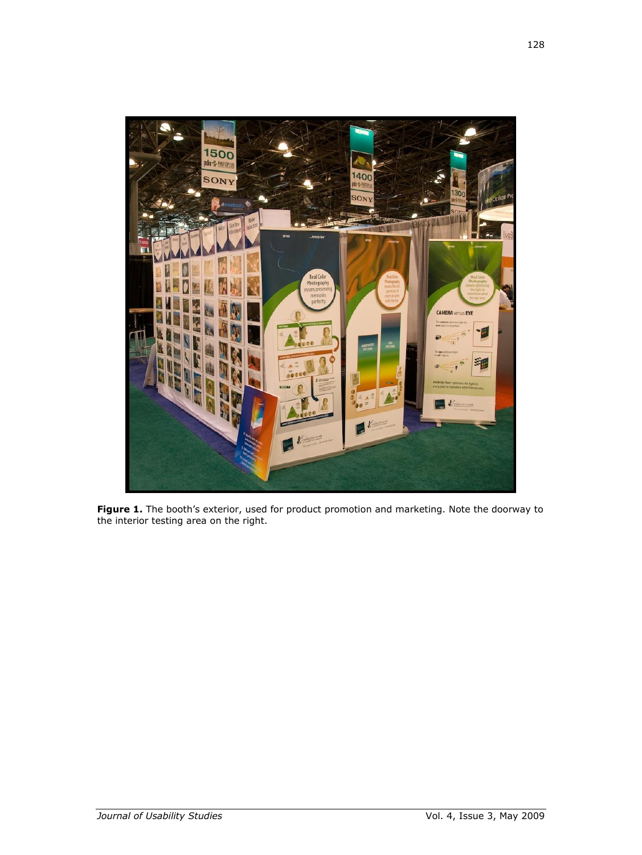

Figure 1. The booth's exterior, used for product promotion and marketing. Note the doorway to the interior testing area on the right.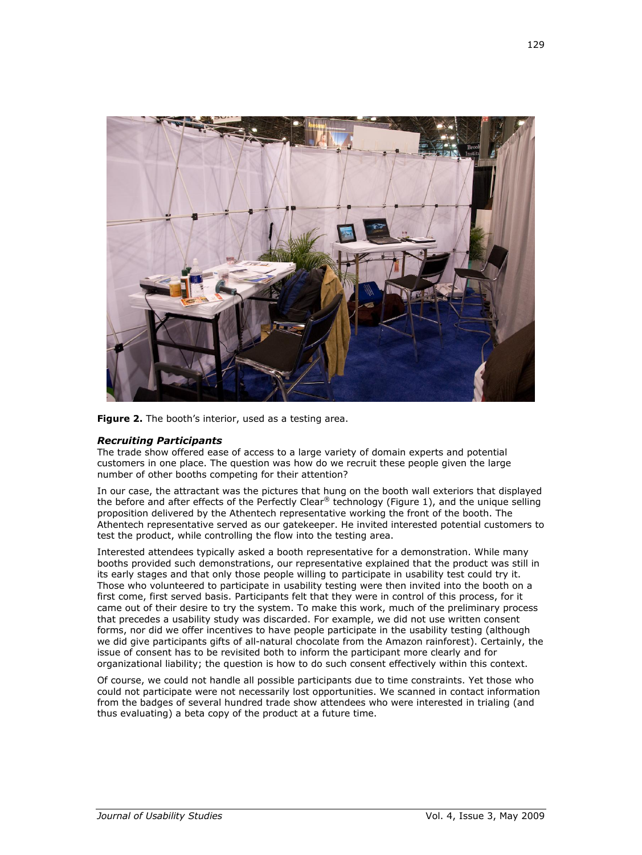

**Figure 2.** The booth's interior, used as a testing area.

#### *Recruiting Participants*

The trade show offered ease of access to a large variety of domain experts and potential customers in one place. The question was how do we recruit these people given the large number of other booths competing for their attention?

In our case, the attractant was the pictures that hung on the booth wall exteriors that displayed the before and after effects of the Perfectly Clear® technology (Figure 1), and the unique selling proposition delivered by the Athentech representative working the front of the booth. The Athentech representative served as our gatekeeper. He invited interested potential customers to test the product, while controlling the flow into the testing area.

Interested attendees typically asked a booth representative for a demonstration. While many booths provided such demonstrations, our representative explained that the product was still in its early stages and that only those people willing to participate in usability test could try it. Those who volunteered to participate in usability testing were then invited into the booth on a first come, first served basis. Participants felt that they were in control of this process, for it came out of their desire to try the system. To make this work, much of the preliminary process that precedes a usability study was discarded. For example, we did not use written consent forms, nor did we offer incentives to have people participate in the usability testing (although we did give participants gifts of all-natural chocolate from the Amazon rainforest). Certainly, the issue of consent has to be revisited both to inform the participant more clearly and for organizational liability; the question is how to do such consent effectively within this context.

Of course, we could not handle all possible participants due to time constraints. Yet those who could not participate were not necessarily lost opportunities. We scanned in contact information from the badges of several hundred trade show attendees who were interested in trialing (and thus evaluating) a beta copy of the product at a future time.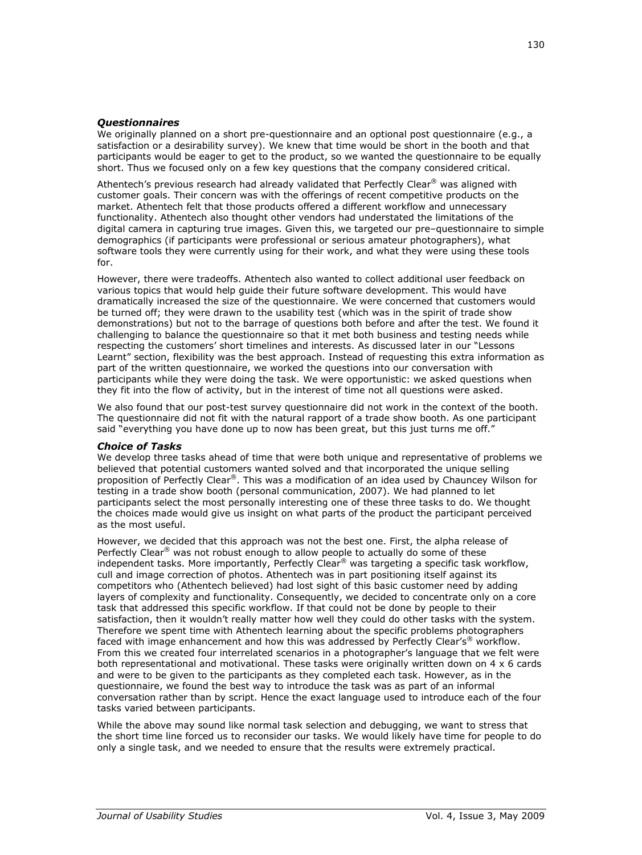### *Questionnaires*

We originally planned on a short pre-questionnaire and an optional post questionnaire (e.g., a satisfaction or a desirability survey). We knew that time would be short in the booth and that participants would be eager to get to the product, so we wanted the questionnaire to be equally short. Thus we focused only on a few key questions that the company considered critical.

Athentech's previous research had already validated that Perfectly Clear® was aligned with customer goals. Their concern was with the offerings of recent competitive products on the market. Athentech felt that those products offered a different workflow and unnecessary functionality. Athentech also thought other vendors had understated the limitations of the digital camera in capturing true images. Given this, we targeted our pre–questionnaire to simple demographics (if participants were professional or serious amateur photographers), what software tools they were currently using for their work, and what they were using these tools for.

However, there were tradeoffs. Athentech also wanted to collect additional user feedback on various topics that would help guide their future software development. This would have dramatically increased the size of the questionnaire. We were concerned that customers would be turned off; they were drawn to the usability test (which was in the spirit of trade show demonstrations) but not to the barrage of questions both before and after the test. We found it challenging to balance the questionnaire so that it met both business and testing needs while respecting the customers' short timelines and interests. As discussed later in our "Lessons Learnt" section, flexibility was the best approach. Instead of requesting this extra information as part of the written questionnaire, we worked the questions into our conversation with participants while they were doing the task. We were opportunistic: we asked questions when they fit into the flow of activity, but in the interest of time not all questions were asked.

We also found that our post-test survey questionnaire did not work in the context of the booth. The questionnaire did not fit with the natural rapport of a trade show booth. As one participant said "everything you have done up to now has been great, but this just turns me off."

#### *Choice of Tasks*

We develop three tasks ahead of time that were both unique and representative of problems we believed that potential customers wanted solved and that incorporated the unique selling proposition of Perfectly Clear®. This was a modification of an idea used by Chauncey Wilson for testing in a trade show booth (personal communication, 2007). We had planned to let participants select the most personally interesting one of these three tasks to do. We thought the choices made would give us insight on what parts of the product the participant perceived as the most useful.

However, we decided that this approach was not the best one. First, the alpha release of Perfectly Clear<sup>®</sup> was not robust enough to allow people to actually do some of these independent tasks. More importantly, Perfectly Clear® was targeting a specific task workflow, cull and image correction of photos. Athentech was in part positioning itself against its competitors who (Athentech believed) had lost sight of this basic customer need by adding layers of complexity and functionality. Consequently, we decided to concentrate only on a core task that addressed this specific workflow. If that could not be done by people to their satisfaction, then it wouldn't really matter how well they could do other tasks with the system. Therefore we spent time with Athentech learning about the specific problems photographers faced with image enhancement and how this was addressed by Perfectly Clear's<sup>®</sup> workflow. From this we created four interrelated scenarios in a photographer's language that we felt were both representational and motivational. These tasks were originally written down on 4 x 6 cards and were to be given to the participants as they completed each task. However, as in the questionnaire, we found the best way to introduce the task was as part of an informal conversation rather than by script. Hence the exact language used to introduce each of the four tasks varied between participants.

While the above may sound like normal task selection and debugging, we want to stress that the short time line forced us to reconsider our tasks. We would likely have time for people to do only a single task, and we needed to ensure that the results were extremely practical.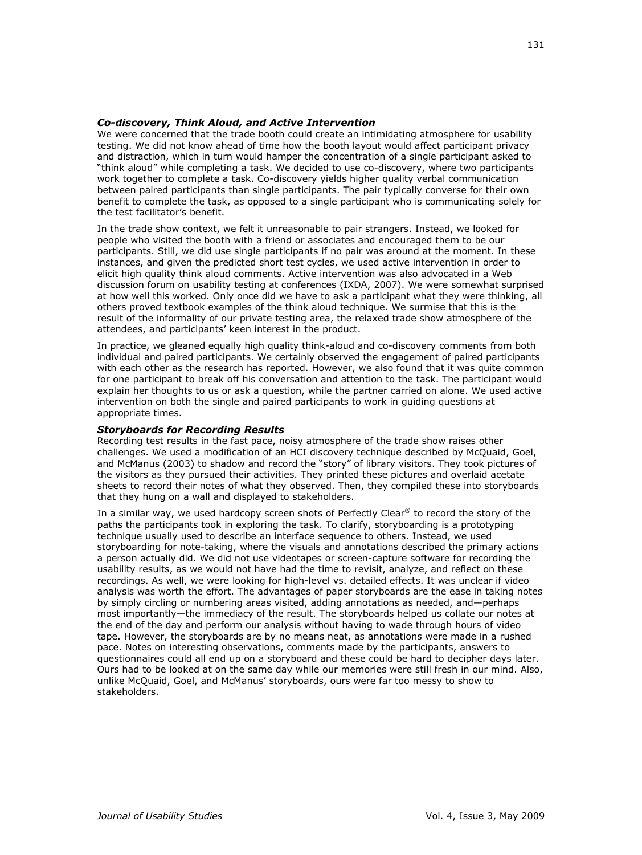### *Co-discovery, Think Aloud, and Active Intervention*

We were concerned that the trade booth could create an intimidating atmosphere for usability testing. We did not know ahead of time how the booth layout would affect participant privacy and distraction, which in turn would hamper the concentration of a single participant asked to "think aloud" while completing a task. We decided to use co-discovery, where two participants work together to complete a task. Co-discovery yields higher quality verbal communication between paired participants than single participants. The pair typically converse for their own benefit to complete the task, as opposed to a single participant who is communicating solely for the test facilitator's benefit.

In the trade show context, we felt it unreasonable to pair strangers. Instead, we looked for people who visited the booth with a friend or associates and encouraged them to be our participants. Still, we did use single participants if no pair was around at the moment. In these instances, and given the predicted short test cycles, we used active intervention in order to elicit high quality think aloud comments. Active intervention was also advocated in a Web discussion forum on usability testing at conferences (IXDA, 2007). We were somewhat surprised at how well this worked. Only once did we have to ask a participant what they were thinking, all others proved textbook examples of the think aloud technique. We surmise that this is the result of the informality of our private testing area, the relaxed trade show atmosphere of the attendees, and participants' keen interest in the product.

In practice, we gleaned equally high quality think-aloud and co-discovery comments from both individual and paired participants. We certainly observed the engagement of paired participants with each other as the research has reported. However, we also found that it was quite common for one participant to break off his conversation and attention to the task. The participant would explain her thoughts to us or ask a question, while the partner carried on alone. We used active intervention on both the single and paired participants to work in guiding questions at appropriate times.

#### *Storyboards for Recording Results*

Recording test results in the fast pace, noisy atmosphere of the trade show raises other challenges. We used a modification of an HCI discovery technique described by McQuaid, Goel, and McManus (2003) to shadow and record the "story" of library visitors. They took pictures of the visitors as they pursued their activities. They printed these pictures and overlaid acetate sheets to record their notes of what they observed. Then, they compiled these into storyboards that they hung on a wall and displayed to stakeholders.

In a similar way, we used hardcopy screen shots of Perfectly Clear<sup>®</sup> to record the story of the paths the participants took in exploring the task. To clarify, storyboarding is a prototyping technique usually used to describe an interface sequence to others. Instead, we used storyboarding for note-taking, where the visuals and annotations described the primary actions a person actually did. We did not use videotapes or screen-capture software for recording the usability results, as we would not have had the time to revisit, analyze, and reflect on these recordings. As well, we were looking for high-level vs. detailed effects. It was unclear if video analysis was worth the effort. The advantages of paper storyboards are the ease in taking notes by simply circling or numbering areas visited, adding annotations as needed, and—perhaps most importantly—the immediacy of the result. The storyboards helped us collate our notes at the end of the day and perform our analysis without having to wade through hours of video tape. However, the storyboards are by no means neat, as annotations were made in a rushed pace. Notes on interesting observations, comments made by the participants, answers to questionnaires could all end up on a storyboard and these could be hard to decipher days later. Ours had to be looked at on the same day while our memories were still fresh in our mind. Also, unlike McQuaid, Goel, and McManus' storyboards, ours were far too messy to show to stakeholders.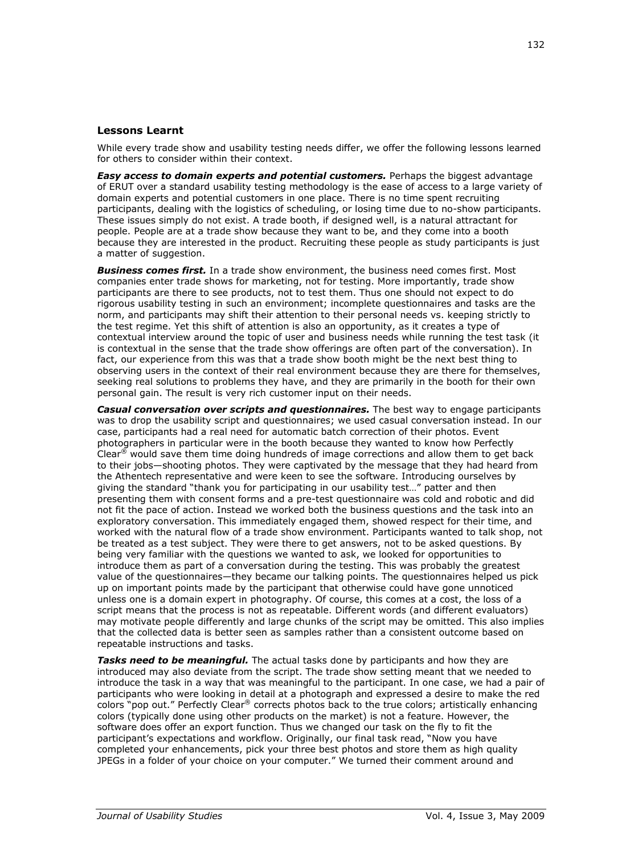## **Lessons Learnt**

While every trade show and usability testing needs differ, we offer the following lessons learned for others to consider within their context.

*Easy access to domain experts and potential customers.* Perhaps the biggest advantage of ERUT over a standard usability testing methodology is the ease of access to a large variety of domain experts and potential customers in one place. There is no time spent recruiting participants, dealing with the logistics of scheduling, or losing time due to no-show participants. These issues simply do not exist. A trade booth, if designed well, is a natural attractant for people. People are at a trade show because they want to be, and they come into a booth because they are interested in the product. Recruiting these people as study participants is just a matter of suggestion.

**Business comes first.** In a trade show environment, the business need comes first. Most companies enter trade shows for marketing, not for testing. More importantly, trade show participants are there to see products, not to test them. Thus one should not expect to do rigorous usability testing in such an environment; incomplete questionnaires and tasks are the norm, and participants may shift their attention to their personal needs vs. keeping strictly to the test regime. Yet this shift of attention is also an opportunity, as it creates a type of contextual interview around the topic of user and business needs while running the test task (it is contextual in the sense that the trade show offerings are often part of the conversation). In fact, our experience from this was that a trade show booth might be the next best thing to observing users in the context of their real environment because they are there for themselves, seeking real solutions to problems they have, and they are primarily in the booth for their own personal gain. The result is very rich customer input on their needs.

*Casual conversation over scripts and questionnaires.* The best way to engage participants was to drop the usability script and questionnaires; we used casual conversation instead. In our case, participants had a real need for automatic batch correction of their photos. Event photographers in particular were in the booth because they wanted to know how Perfectly Clear<sup>®</sup> would save them time doing hundreds of image corrections and allow them to get back to their jobs—shooting photos. They were captivated by the message that they had heard from the Athentech representative and were keen to see the software. Introducing ourselves by giving the standard "thank you for participating in our usability test..." patter and then presenting them with consent forms and a pre-test questionnaire was cold and robotic and did not fit the pace of action. Instead we worked both the business questions and the task into an exploratory conversation. This immediately engaged them, showed respect for their time, and worked with the natural flow of a trade show environment. Participants wanted to talk shop, not be treated as a test subject. They were there to get answers, not to be asked questions. By being very familiar with the questions we wanted to ask, we looked for opportunities to introduce them as part of a conversation during the testing. This was probably the greatest value of the questionnaires—they became our talking points. The questionnaires helped us pick up on important points made by the participant that otherwise could have gone unnoticed unless one is a domain expert in photography. Of course, this comes at a cost, the loss of a script means that the process is not as repeatable. Different words (and different evaluators) may motivate people differently and large chunks of the script may be omitted. This also implies that the collected data is better seen as samples rather than a consistent outcome based on repeatable instructions and tasks.

*Tasks need to be meaningful.* The actual tasks done by participants and how they are introduced may also deviate from the script. The trade show setting meant that we needed to introduce the task in a way that was meaningful to the participant. In one case, we had a pair of participants who were looking in detail at a photograph and expressed a desire to make the red colors "pop out." Perfectly Clear<sup>®</sup> corrects photos back to the true colors; artistically enhancing colors (typically done using other products on the market) is not a feature. However, the software does offer an export function. Thus we changed our task on the fly to fit the participant's expectations and workflow. Originally, our final task read, "Now you have completed your enhancements, pick your three best photos and store them as high quality JPEGs in a folder of your choice on your computer." We turned their comment around and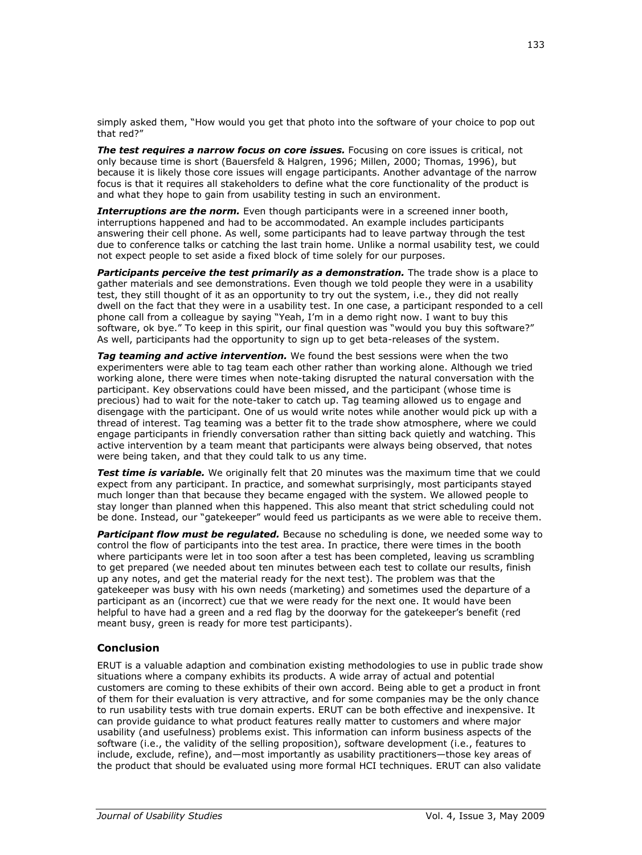simply asked them, "How would you get that photo into the software of your choice to pop out that red?"

**The test requires a narrow focus on core** *issues***.** Focusing on core issues is critical, not only because time is short (Bauersfeld & Halgren, 1996; Millen, 2000; Thomas, 1996), but because it is likely those core issues will engage participants. Another advantage of the narrow focus is that it requires all stakeholders to define what the core functionality of the product is and what they hope to gain from usability testing in such an environment.

**Interruptions are the norm.** Even though participants were in a screened inner booth, interruptions happened and had to be accommodated. An example includes participants answering their cell phone. As well, some participants had to leave partway through the test due to conference talks or catching the last train home. Unlike a normal usability test, we could not expect people to set aside a fixed block of time solely for our purposes.

Participants perceive the test primarily as a demonstration. The trade show is a place to gather materials and see demonstrations. Even though we told people they were in a usability test, they still thought of it as an opportunity to try out the system, i.e., they did not really dwell on the fact that they were in a usability test. In one case, a participant responded to a cell phone call from a colleague by saying "Yeah, I'm in a demo right now. I want to buv this software, ok bye." To keep in this spirit, our final question was "would you buy this software?" As well, participants had the opportunity to sign up to get beta-releases of the system.

*Tag teaming and active intervention.* We found the best sessions were when the two experimenters were able to tag team each other rather than working alone. Although we tried working alone, there were times when note-taking disrupted the natural conversation with the participant. Key observations could have been missed, and the participant (whose time is precious) had to wait for the note-taker to catch up. Tag teaming allowed us to engage and disengage with the participant. One of us would write notes while another would pick up with a thread of interest. Tag teaming was a better fit to the trade show atmosphere, where we could engage participants in friendly conversation rather than sitting back quietly and watching. This active intervention by a team meant that participants were always being observed, that notes were being taken, and that they could talk to us any time.

**Test time is variable.** We originally felt that 20 minutes was the maximum time that we could expect from any participant. In practice, and somewhat surprisingly, most participants stayed much longer than that because they became engaged with the system. We allowed people to stay longer than planned when this happened. This also meant that strict scheduling could not be done. Instead, our "gatekeeper" would feed us participants as we were able to receive them.

*Participant flow must be regulated.* Because no scheduling is done, we needed some way to control the flow of participants into the test area. In practice, there were times in the booth where participants were let in too soon after a test has been completed, leaving us scrambling to get prepared (we needed about ten minutes between each test to collate our results, finish up any notes, and get the material ready for the next test). The problem was that the gatekeeper was busy with his own needs (marketing) and sometimes used the departure of a participant as an (incorrect) cue that we were ready for the next one. It would have been helpful to have had a green and a red flag by the doorway for the gatekeeper's benefit (red meant busy, green is ready for more test participants).

## **Conclusion**

ERUT is a valuable adaption and combination existing methodologies to use in public trade show situations where a company exhibits its products. A wide array of actual and potential customers are coming to these exhibits of their own accord. Being able to get a product in front of them for their evaluation is very attractive, and for some companies may be the only chance to run usability tests with true domain experts. ERUT can be both effective and inexpensive. It can provide guidance to what product features really matter to customers and where major usability (and usefulness) problems exist. This information can inform business aspects of the software (i.e., the validity of the selling proposition), software development (i.e., features to include, exclude, refine), and—most importantly as usability practitioners—those key areas of the product that should be evaluated using more formal HCI techniques. ERUT can also validate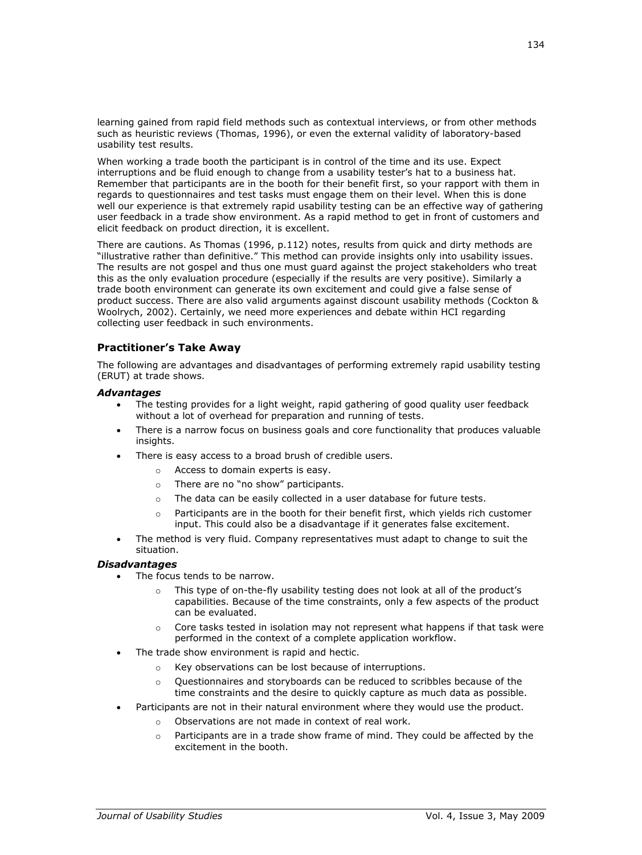learning gained from rapid field methods such as contextual interviews, or from other methods such as heuristic reviews (Thomas, 1996), or even the external validity of laboratory-based usability test results.

When working a trade booth the participant is in control of the time and its use. Expect interruptions and be fluid enough to change from a usability tester's hat to a business hat. Remember that participants are in the booth for their benefit first, so your rapport with them in regards to questionnaires and test tasks must engage them on their level. When this is done well our experience is that extremely rapid usability testing can be an effective way of gathering user feedback in a trade show environment. As a rapid method to get in front of customers and elicit feedback on product direction, it is excellent.

There are cautions. As Thomas (1996, p.112) notes, results from quick and dirty methods are "illustrative rather than definitive." This method can provide insights only into usability issues. The results are not gospel and thus one must guard against the project stakeholders who treat this as the only evaluation procedure (especially if the results are very positive). Similarly a trade booth environment can generate its own excitement and could give a false sense of product success. There are also valid arguments against discount usability methods (Cockton & Woolrych, 2002). Certainly, we need more experiences and debate within HCI regarding collecting user feedback in such environments.

## **Practitioner's Take Away**

The following are advantages and disadvantages of performing extremely rapid usability testing (ERUT) at trade shows.

#### *Advantages*

- The testing provides for a light weight, rapid gathering of good quality user feedback without a lot of overhead for preparation and running of tests.
- There is a narrow focus on business goals and core functionality that produces valuable insights.
- There is easy access to a broad brush of credible users.
	- o Access to domain experts is easy.
	- $\circ$  There are no "no show" participants.
	- o The data can be easily collected in a user database for future tests.
	- $\circ$  Participants are in the booth for their benefit first, which yields rich customer input. This could also be a disadvantage if it generates false excitement.
- The method is very fluid. Company representatives must adapt to change to suit the situation.

#### *Disadvantages*

- The focus tends to be narrow.
	- $\circ$  This type of on-the-fly usability testing does not look at all of the product's capabilities. Because of the time constraints, only a few aspects of the product can be evaluated.
	- $\circ$  Core tasks tested in isolation may not represent what happens if that task were performed in the context of a complete application workflow.
- The trade show environment is rapid and hectic.
	- o Key observations can be lost because of interruptions.
	- o Questionnaires and storyboards can be reduced to scribbles because of the time constraints and the desire to quickly capture as much data as possible.
- Participants are not in their natural environment where they would use the product.
	- o Observations are not made in context of real work.
	- $\circ$  Participants are in a trade show frame of mind. They could be affected by the excitement in the booth.